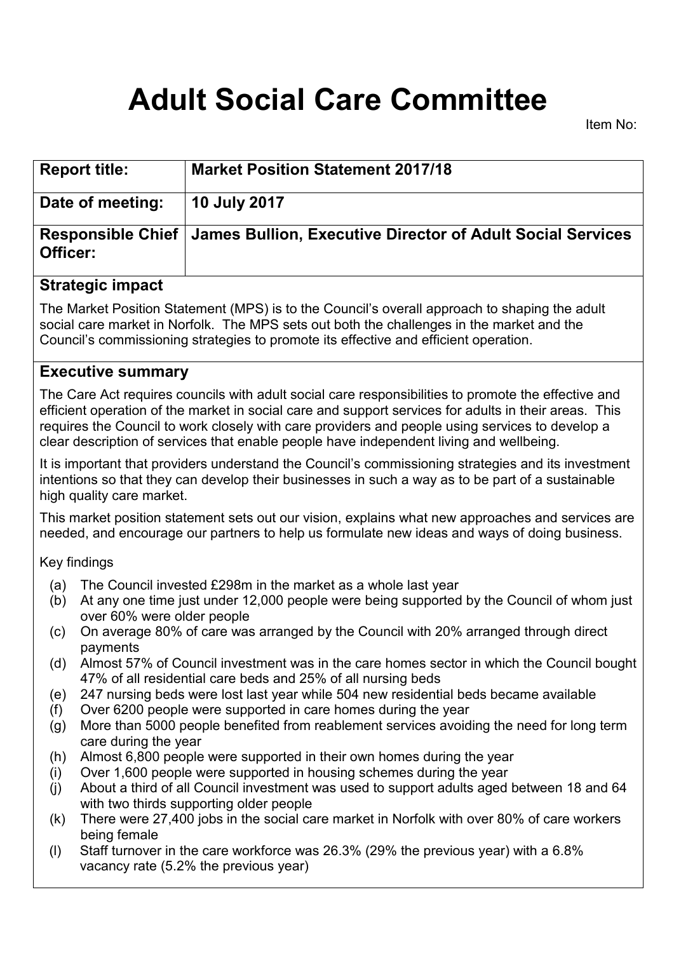# **Adult Social Care Committee**

Item No:

| <b>Report title:</b> | <b>Market Position Statement 2017/18</b>                                       |
|----------------------|--------------------------------------------------------------------------------|
| Date of meeting:     | 10 July 2017                                                                   |
| Officer:             | Responsible Chief   James Bullion, Executive Director of Adult Social Services |
|                      |                                                                                |

## **Strategic impact**

The Market Position Statement (MPS) is to the Council's overall approach to shaping the adult social care market in Norfolk. The MPS sets out both the challenges in the market and the Council's commissioning strategies to promote its effective and efficient operation.

#### **Executive summary**

The Care Act requires councils with adult social care responsibilities to promote the effective and efficient operation of the market in social care and support services for adults in their areas. This requires the Council to work closely with care providers and people using services to develop a clear description of services that enable people have independent living and wellbeing.

It is important that providers understand the Council's commissioning strategies and its investment intentions so that they can develop their businesses in such a way as to be part of a sustainable high quality care market.

This market position statement sets out our vision, explains what new approaches and services are needed, and encourage our partners to help us formulate new ideas and ways of doing business.

Key findings

- (a) The Council invested £298m in the market as a whole last year
- (b) At any one time just under 12,000 people were being supported by the Council of whom just over 60% were older people
- (c) On average 80% of care was arranged by the Council with 20% arranged through direct payments
- (d) Almost 57% of Council investment was in the care homes sector in which the Council bought 47% of all residential care beds and 25% of all nursing beds
- (e) 247 nursing beds were lost last year while 504 new residential beds became available
- (f) Over 6200 people were supported in care homes during the year
- (g) More than 5000 people benefited from reablement services avoiding the need for long term care during the year
- (h) Almost 6,800 people were supported in their own homes during the year
- (i) Over 1,600 people were supported in housing schemes during the year
- (j) About a third of all Council investment was used to support adults aged between 18 and 64 with two thirds supporting older people
- (k) There were 27,400 jobs in the social care market in Norfolk with over 80% of care workers being female
- (l) Staff turnover in the care workforce was 26.3% (29% the previous year) with a 6.8% vacancy rate (5.2% the previous year)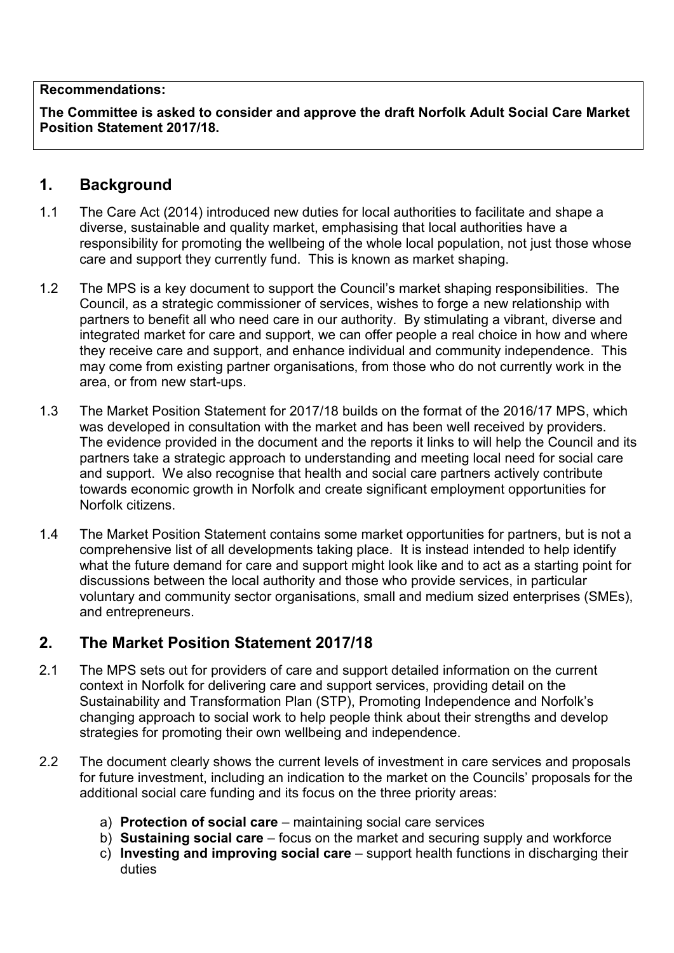#### **Recommendations:**

**The Committee is asked to consider and approve the draft Norfolk Adult Social Care Market Position Statement 2017/18.**

#### **1. Background**

- 1.1 The Care Act (2014) introduced new duties for local authorities to facilitate and shape a diverse, sustainable and quality market, emphasising that local authorities have a responsibility for promoting the wellbeing of the whole local population, not just those whose care and support they currently fund. This is known as market shaping.
- 1.2 The MPS is a key document to support the Council's market shaping responsibilities. The Council, as a strategic commissioner of services, wishes to forge a new relationship with partners to benefit all who need care in our authority. By stimulating a vibrant, diverse and integrated market for care and support, we can offer people a real choice in how and where they receive care and support, and enhance individual and community independence. This may come from existing partner organisations, from those who do not currently work in the area, or from new start-ups.
- 1.3 The Market Position Statement for 2017/18 builds on the format of the 2016/17 MPS, which was developed in consultation with the market and has been well received by providers. The evidence provided in the document and the reports it links to will help the Council and its partners take a strategic approach to understanding and meeting local need for social care and support. We also recognise that health and social care partners actively contribute towards economic growth in Norfolk and create significant employment opportunities for Norfolk citizens.
- 1.4 The Market Position Statement contains some market opportunities for partners, but is not a comprehensive list of all developments taking place. It is instead intended to help identify what the future demand for care and support might look like and to act as a starting point for discussions between the local authority and those who provide services, in particular voluntary and community sector organisations, small and medium sized enterprises (SMEs), and entrepreneurs.

# **2. The Market Position Statement 2017/18**

- 2.1 The MPS sets out for providers of care and support detailed information on the current context in Norfolk for delivering care and support services, providing detail on the Sustainability and Transformation Plan (STP), Promoting Independence and Norfolk's changing approach to social work to help people think about their strengths and develop strategies for promoting their own wellbeing and independence.
- 2.2 The document clearly shows the current levels of investment in care services and proposals for future investment, including an indication to the market on the Councils' proposals for the additional social care funding and its focus on the three priority areas:
	- a) **Protection of social care** maintaining social care services
	- b) **Sustaining social care** focus on the market and securing supply and workforce
	- c) **Investing and improving social care** support health functions in discharging their duties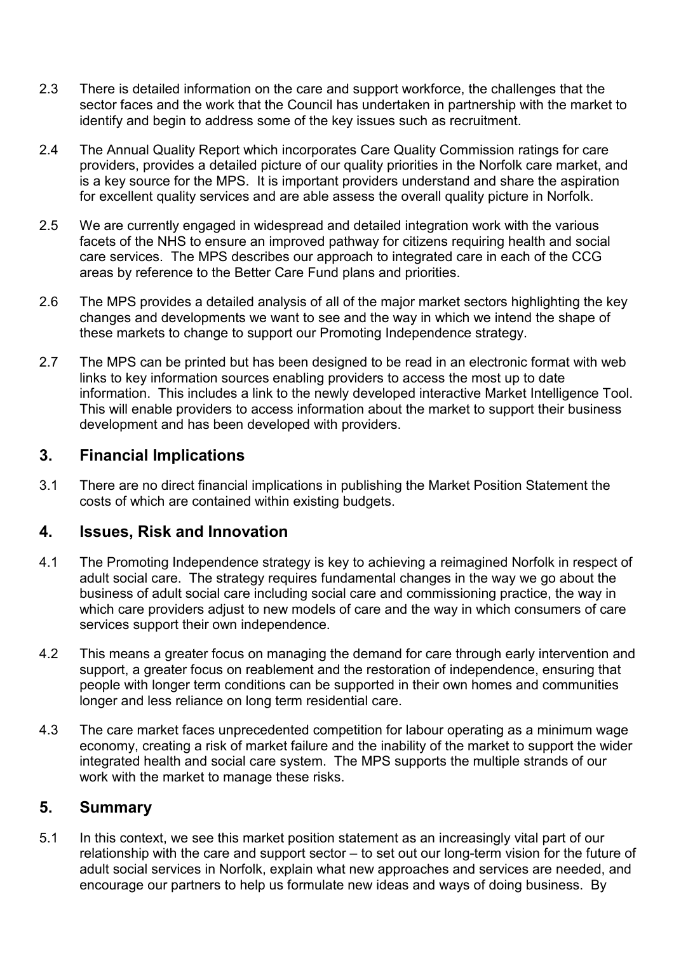- 2.3 There is detailed information on the care and support workforce, the challenges that the sector faces and the work that the Council has undertaken in partnership with the market to identify and begin to address some of the key issues such as recruitment.
- 2.4 The Annual Quality Report which incorporates Care Quality Commission ratings for care providers, provides a detailed picture of our quality priorities in the Norfolk care market, and is a key source for the MPS. It is important providers understand and share the aspiration for excellent quality services and are able assess the overall quality picture in Norfolk.
- 2.5 We are currently engaged in widespread and detailed integration work with the various facets of the NHS to ensure an improved pathway for citizens requiring health and social care services. The MPS describes our approach to integrated care in each of the CCG areas by reference to the Better Care Fund plans and priorities.
- 2.6 The MPS provides a detailed analysis of all of the major market sectors highlighting the key changes and developments we want to see and the way in which we intend the shape of these markets to change to support our Promoting Independence strategy.
- 2.7 The MPS can be printed but has been designed to be read in an electronic format with web links to key information sources enabling providers to access the most up to date information. This includes a link to the newly developed interactive Market Intelligence Tool. This will enable providers to access information about the market to support their business development and has been developed with providers.

# **3. Financial Implications**

3.1 There are no direct financial implications in publishing the Market Position Statement the costs of which are contained within existing budgets.

#### **4. Issues, Risk and Innovation**

- 4.1 The Promoting Independence strategy is key to achieving a reimagined Norfolk in respect of adult social care. The strategy requires fundamental changes in the way we go about the business of adult social care including social care and commissioning practice, the way in which care providers adjust to new models of care and the way in which consumers of care services support their own independence.
- 4.2 This means a greater focus on managing the demand for care through early intervention and support, a greater focus on reablement and the restoration of independence, ensuring that people with longer term conditions can be supported in their own homes and communities longer and less reliance on long term residential care.
- 4.3 The care market faces unprecedented competition for labour operating as a minimum wage economy, creating a risk of market failure and the inability of the market to support the wider integrated health and social care system. The MPS supports the multiple strands of our work with the market to manage these risks.

# **5. Summary**

5.1 In this context, we see this market position statement as an increasingly vital part of our relationship with the care and support sector – to set out our long-term vision for the future of adult social services in Norfolk, explain what new approaches and services are needed, and encourage our partners to help us formulate new ideas and ways of doing business. By